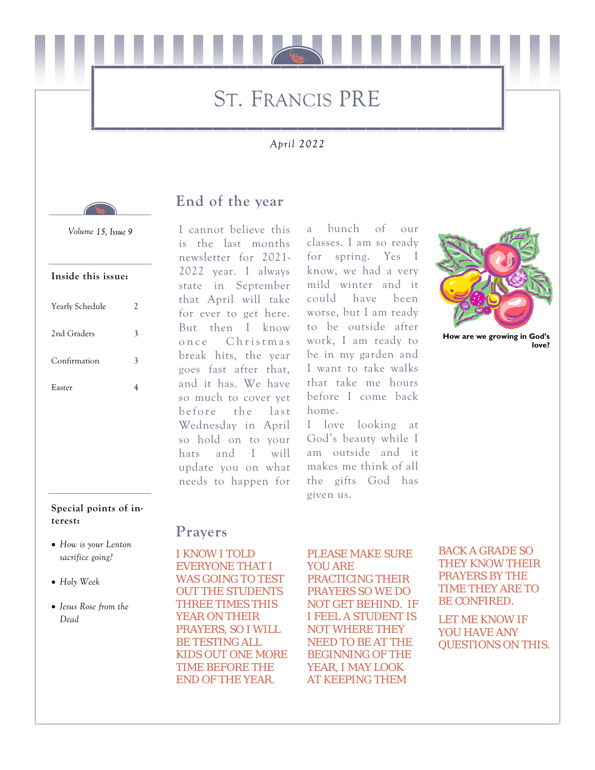# ST. FRANCIS PRE

### *April 2022*



# **End of the year**

*Volume* 

#### **Inside this issue:**

| Yearly Schedule | 2 |
|-----------------|---|
| 2nd Graders     | 3 |
| Confirmation    | 3 |
| Easter          |   |
|                 |   |

#### **Special points of interest:**

- *How is your Lenton sacrifice going?*
- *Holy Week*
- *Jesus Rose from the Dead*

I cannot believe this is the last months newsletter for 2021- 2022 year. I always state in September that April will take for ever to get here. But then I know once Christmas break hits, the year goes fast after that, and it has. We have so much to cover yet before the last Wednesday in April so hold on to your hats and I will update you on what needs to happen for

a bunch of our classes. I am so ready for spring. Yes I know, we had a very mild winter and it could have been worse, but I am ready to be outside after work, I am ready to be in my garden and I want to take walks that take me hours before I come back home.

I love looking at God's beauty while I am outside and it makes me think of all the gifts God has given us.



**How are we growing in God's love?** 

### **Prayers**

I KNOW I TOLD EVERYONE THAT I WAS GOING TO TEST OUT THE STUDENTS THREE TIMES THIS YEAR ON THEIR PRAYERS, SO I WILL BE TESTING ALL KIDS OUT ONE MORE TIME BEFORE THE END OF THE YEAR.

#### PLEASE MAKE SURE YOU ARE

PRACTICING THEIR PRAYERS SO WE DO NOT GET BEHIND. IF I FEEL A STUDENT IS NOT WHERE THEY NEED TO BE AT THE BEGINNING OF THE YEAR, I MAY LOOK AT KEEPING THEM

BACK A GRADE SO THEY KNOW THEIR PRAYERS BY THE TIME THEY ARE TO BE CONFIRED.

LET ME KNOW IF YOU HAVE ANY QUESTIONS ON THIS.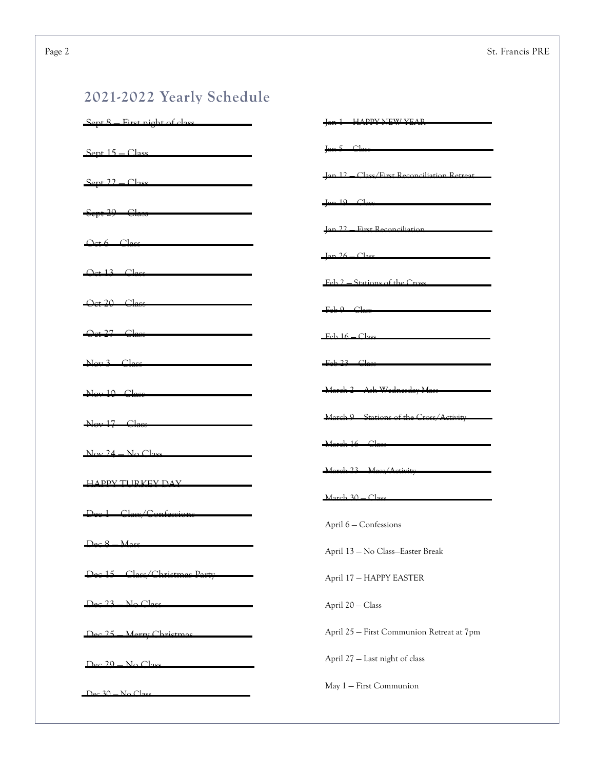# **2021-2022 Yearly Schedule**

| First night of class<br>pt 8  | <b>HADDV NEW/VEAD</b>                            |
|-------------------------------|--------------------------------------------------|
| $Sent 15 - Class$             | Jan 5 Class                                      |
| $Sept 22 - Class$             | <b>Jan 12 Class/First Reconciliation Retreat</b> |
| Sept 29 - Class               | $Jan 19$ $Clase$                                 |
| $Qct6$ $Class$                | Jan 22 Eirst Reconciliation                      |
| <del>Oct 13</del>             | $\frac{1}{2}an 26 - \frac{1}{2}as$               |
| Oct 20 Class                  | $-$ Feb $9$ $ C$ lass                            |
| Oct 27 Class                  | $Feh 16 - Cl$                                    |
| Nov 3                         | Feb 23 Class                                     |
| Nov 10 Class                  | Ash Wednesday Mas<br>-March 2-                   |
| Nov 17 Class                  | March 9 Stations of the Cross/Activity           |
| $Now 24 - No Class$           | March 16 Class                                   |
| <b>HAPPY TURKEY DAY</b>       | <u> /Activity</u><br>$March 30 - Class$          |
| Class<br>∠                    | April 6 - Confessions                            |
| $Dec 8$ Mass                  | April 13 - No Class-Easter Break                 |
| <u> Class/Christmas Party</u> | April 17 - HAPPY EASTER                          |
| No Clae<br>72                 | April 20 - Class                                 |
| Marry Christmas               | April 25 - First Communion Retreat at 7pm        |
| $Dec 29 - No Close$           | April 27 - Last night of class                   |
| $Dec 30 - No Close$           | May 1 - First Communion                          |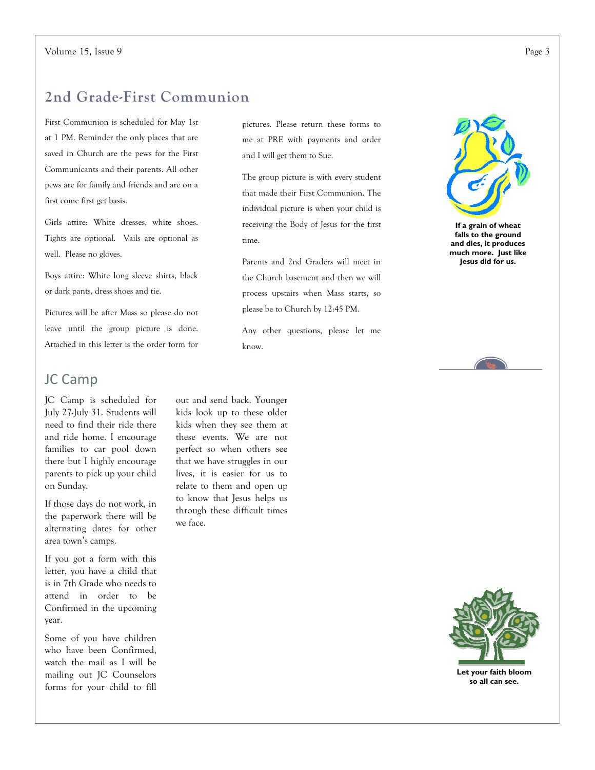## **2nd Grade-First Communion**

First Communion is scheduled for May 1st at 1 PM. Reminder the only places that are saved in Church are the pews for the First Communicants and their parents. All other pews are for family and friends and are on a first come first get basis.

Girls attire: White dresses, white shoes. Tights are optional. Vails are optional as well. Please no gloves.

Boys attire: White long sleeve shirts, black or dark pants, dress shoes and tie.

Pictures will be after Mass so please do not leave until the group picture is done. Attached in this letter is the order form for

### JC Camp

JC Camp is scheduled for July 27-July 31. Students will need to find their ride there and ride home. I encourage families to car pool down there but I highly encourage parents to pick up your child on Sunday.

If those days do not work, in the paperwork there will be alternating dates for other area town's camps.

If you got a form with this letter, you have a child that is in 7th Grade who needs to attend in order to be Confirmed in the upcoming year.

Some of you have children who have been Confirmed, watch the mail as I will be mailing out JC Counselors forms for your child to fill

pictures. Please return these forms to me at PRE with payments and order and I will get them to Sue.

The group picture is with every student that made their First Communion. The individual picture is when your child is receiving the Body of Jesus for the first time.

Parents and 2nd Graders will meet in the Church basement and then we will process upstairs when Mass starts, so please be to Church by 12:45 PM.

Any other questions, please let me know.



**If a grain of wheat falls to the ground and dies, it produces much more. Just like Jesus did for us.** 



out and send back. Younger kids look up to these older kids when they see them at these events. We are not perfect so when others see that we have struggles in our lives, it is easier for us to relate to them and open up to know that Jesus helps us through these difficult times we face.



**Let your faith bloom so all can see.**